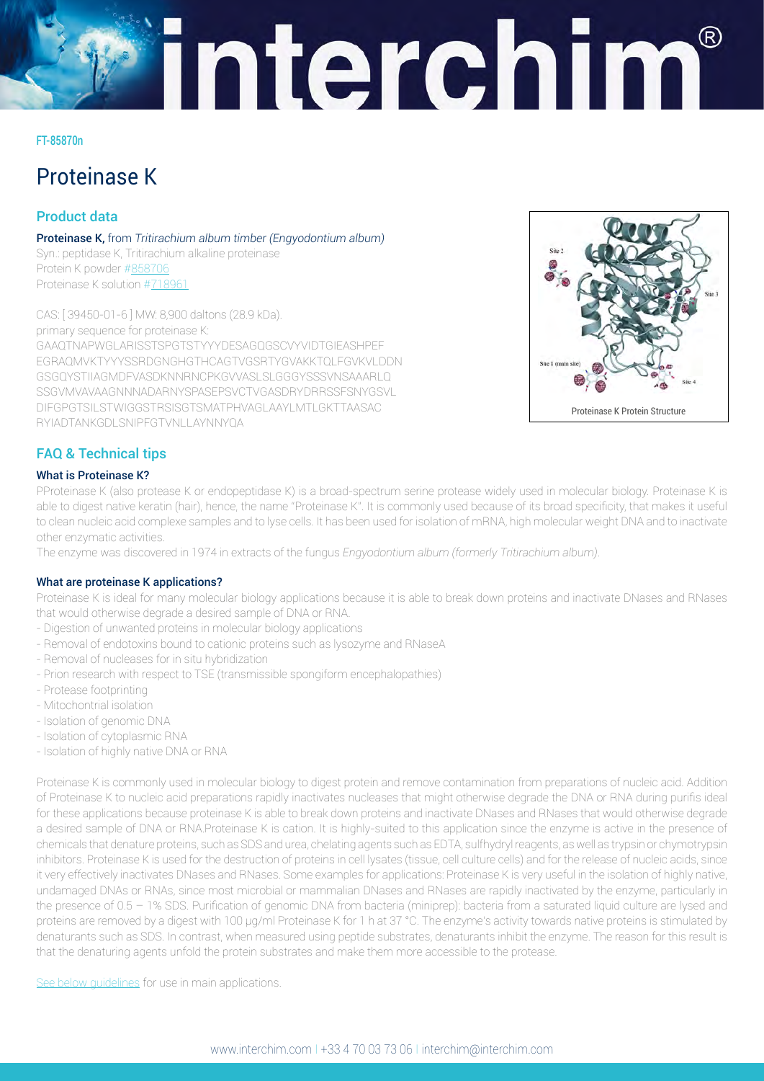# interchim

#### FT-85870n

# Proteinase K

# Product data

Proteinase K, from *Tritirachium album timber (Engyodontium album)* Syn.: peptidase K, Tritirachium alkaline proteinase Protein K powder [#858706](https://www.interchim.fr/ft/8/858707.pdf) Proteinase K solution #[718961](https://www.interchim.fr/ft/7/718961.pdf)

CAS: [ 39450-01-6 ] MW: 8,900 daltons (28.9 kDa). primary sequence for proteinase K: GAAQTNAPWGLARISSTSPGTSTYYYDESAGQGSCVYVIDTGIEASHPEF EGRAQMVKTYYYSSRDGNGHGTHCAGTVGSRTYGVAKKTQLFGVKVLDDN GSGQYSTIIAGMDFVASDKNNRNCPKGVVASLSLGGGYSSSVNSAAARLQ SSGVMVAVAAGNNNADARNYSPASEPSVCTVGASDRYDRRSSFSNYGSVL DIFGPGTSILSTWIGGSTRSISGTSMATPHVAGLAAYLMTLGKTTAASAC RYIADTANKGDLSNIPFGTVNLLAYNNYQA



# FAQ & Technical tips

## What is Proteinase K?

PProteinase K (also protease K or endopeptidase K) is a broad-spectrum serine protease widely used in molecular biology. Proteinase K is able to digest native keratin (hair), hence, the name "Proteinase K". It is commonly used because of its broad specificity, that makes it useful to clean nucleic acid complexe samples and to lyse cells. It has been used for isolation of mRNA, high molecular weight DNA and to inactivate other enzymatic activities.

The enzyme was discovered in 1974 in extracts of the fungus *Engyodontium album (formerly Tritirachium album)*.

## What are proteinase K applications?

Proteinase K is ideal for many molecular biology applications because it is able to break down proteins and inactivate DNases and RNases that would otherwise degrade a desired sample of DNA or RNA.

- Digestion of unwanted proteins in molecular biology applications
- Removal of endotoxins bound to cationic proteins such as lysozyme and RNaseA
- Removal of nucleases for in situ hybridization
- Prion research with respect to TSE (transmissible spongiform encephalopathies)
- Protease footprinting
- Mitochontrial isolation
- Isolation of genomic DNA
- Isolation of cytoplasmic RNA
- Isolation of highly native DNA or RNA

Proteinase K is commonly used in molecular biology to digest protein and remove contamination from preparations of nucleic acid. Addition of Proteinase K to nucleic acid preparations rapidly inactivates nucleases that might otherwise degrade the DNA or RNA during purifis ideal for these applications because proteinase K is able to break down proteins and inactivate DNases and RNases that would otherwise degrade a desired sample of DNA or RNA.Proteinase K is cation. It is highly-suited to this application since the enzyme is active in the presence of chemicals that denature proteins, such as SDS and urea, chelating agents such as EDTA, sulfhydryl reagents, as well as trypsin or chymotrypsin inhibitors. Proteinase K is used for the destruction of proteins in cell lysates (tissue, cell culture cells) and for the release of nucleic acids, since it very effectively inactivates DNases and RNases. Some examples for applications: Proteinase K is very useful in the isolation of highly native, undamaged DNAs or RNAs, since most microbial or mammalian DNases and RNases are rapidly inactivated by the enzyme, particularly in the presence of 0.5 – 1% SDS. Purification of genomic DNA from bacteria (miniprep): bacteria from a saturated liquid culture are lysed and proteins are removed by a digest with 100 μg/ml Proteinase K for 1 h at 37 °C. The enzyme's activity towards native proteins is stimulated by denaturants such as SDS. In contrast, when measured using peptide substrates, denaturants inhibit the enzyme. The reason for this result is that the denaturing agents unfold the protein substrates and make them more accessible to the protease.

See below quidelines for use in main applications.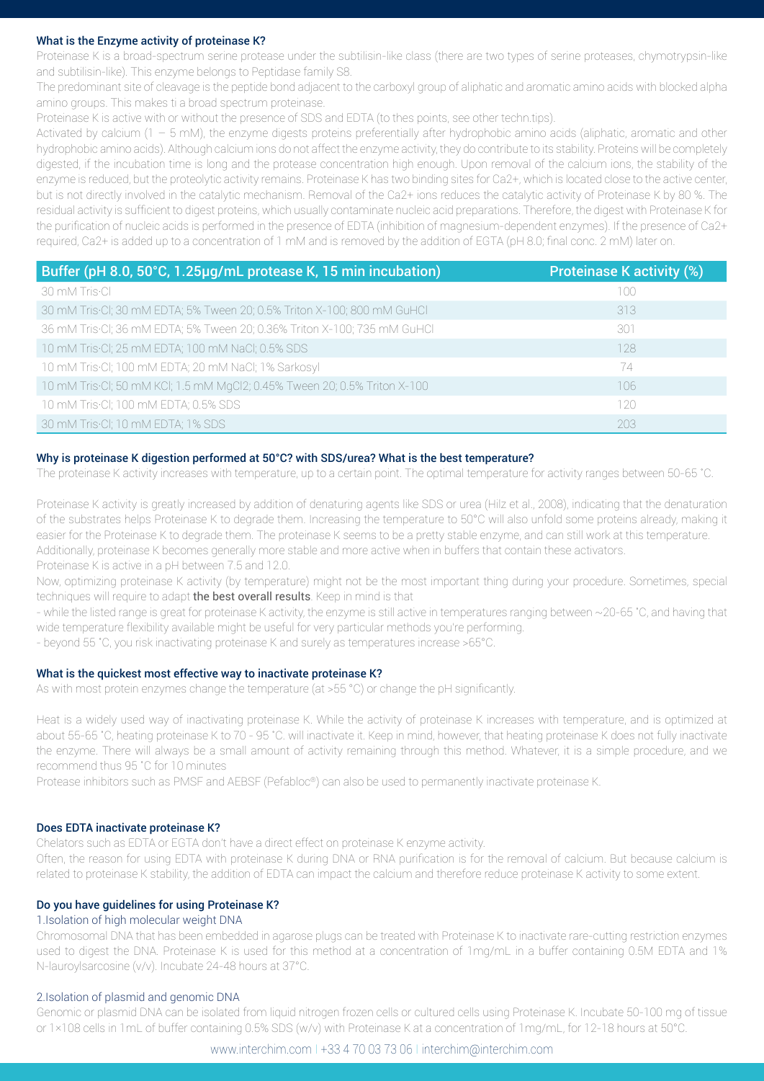#### <span id="page-1-0"></span>What is the Enzyme activity of proteinase K?

Proteinase K is a broad-spectrum serine protease under the subtilisin-like class (there are two types of serine proteases, chymotrypsin-like and subtilisin-like). This enzyme belongs to Peptidase family S8.

The predominant site of cleavage is the peptide bond adjacent to the carboxyl group of aliphatic and aromatic amino acids with blocked alpha amino groups. This makes ti a broad spectrum proteinase.

Proteinase K is active with or without the presence of SDS and EDTA (to thes points, see other techn.tips).

Activated by calcium (1 – 5 mM), the enzyme digests proteins preferentially after hydrophobic amino acids (aliphatic, aromatic and other hydrophobic amino acids). Although calcium ions do not affect the enzyme activity, they do contribute to its stability. Proteins will be completely digested, if the incubation time is long and the protease concentration high enough. Upon removal of the calcium ions, the stability of the enzyme is reduced, but the proteolytic activity remains. Proteinase K has two binding sites for Ca2+, which is located close to the active center, but is not directly involved in the catalytic mechanism. Removal of the Ca2+ ions reduces the catalytic activity of Proteinase K by 80 %. The residual activity is sufficient to digest proteins, which usually contaminate nucleic acid preparations. Therefore, the digest with Proteinase K for the purification of nucleic acids is performed in the presence of EDTA (inhibition of magnesium-dependent enzymes). If the presence of Ca2+ required, Ca2+ is added up to a concentration of 1 mM and is removed by the addition of EGTA (pH 8.0; final conc. 2 mM) later on.

| Buffer (pH 8.0, 50°C, 1.25µg/mL protease K, 15 min incubation)            | <b>Proteinase K activity (%)</b> |
|---------------------------------------------------------------------------|----------------------------------|
| 30 mM Tris•Cl                                                             | 100                              |
| 30 mM Tris.Cl; 30 mM EDTA; 5% Tween 20; 0.5% Triton X-100; 800 mM GuHCl   | 313                              |
| 36 mM Tris. Cl; 36 mM EDTA; 5% Tween 20; 0.36% Triton X-100; 735 mM GuHCl | 301                              |
| 10 mM Tris. CI; 25 mM EDTA; 100 mM NaCI; 0.5% SDS                         | 128                              |
| 10 mM Tris.Cl; 100 mM EDTA; 20 mM NaCl; 1% Sarkosyl                       | 74                               |
| 10 mM Tris.Cl; 50 mM KCl; 1.5 mM MgCl2; 0.45% Tween 20; 0.5% Triton X-100 | 106                              |
| 10 mM Tris-Cl; 100 mM EDTA; 0.5% SDS                                      | 120                              |
| 30 mM Tris CI; 10 mM EDTA; 1% SDS                                         | 203                              |

#### Why is proteinase K digestion performed at 50°C? with SDS/urea? What is the best temperature?

The proteinase K activity increases with temperature, up to a certain point. The optimal temperature for activity ranges between 50-65 ˚C.

Proteinase K activity is greatly increased by addition of denaturing agents like SDS or urea (Hilz et al., 2008), indicating that the denaturation of the substrates helps Proteinase K to degrade them. Increasing the temperature to 50°C will also unfold some proteins already, making it easier for the Proteinase K to degrade them. The proteinase K seems to be a pretty stable enzyme, and can still work at this temperature. Additionally, proteinase K becomes generally more stable and more active when in buffers that contain these activators. Proteinase K is active in a pH between 7.5 and 12.0.

Now, optimizing proteinase K activity (by temperature) might not be the most important thing during your procedure. Sometimes, special techniques will require to adapt the best overall results. Keep in mind is that

- while the listed range is great for proteinase K activity, the enzyme is still active in temperatures ranging between ~20-65 ˚C, and having that wide temperature flexibility available might be useful for very particular methods you're performing.

- beyond 55 ˚C, you risk inactivating proteinase K and surely as temperatures increase >65°C.

#### What is the quickest most effective way to inactivate proteinase K?

As with most protein enzymes change the temperature (at >55 °C) or change the pH significantly.

Heat is a widely used way of inactivating proteinase K. While the activity of proteinase K increases with temperature, and is optimized at about 55-65 ˚C, heating proteinase K to 70 - 95 ˚C. will inactivate it. Keep in mind, however, that heating proteinase K does not fully inactivate the enzyme. There will always be a small amount of activity remaining through this method. Whatever, it is a simple procedure, and we recommend thus 95 ˚C for 10 minutes

Protease inhibitors such as PMSF and AEBSF (Pefabloc®) can also be used to permanently inactivate proteinase K.

#### Does EDTA inactivate proteinase K?

Chelators such as EDTA or EGTA don't have a direct effect on proteinase K enzyme activity.

Often, the reason for using EDTA with proteinase K during DNA or RNA purification is for the removal of calcium. But because calcium is related to proteinase K stability, the addition of EDTA can impact the calcium and therefore reduce proteinase K activity to some extent.

#### Do you have guidelines for using Proteinase K?

#### 1.Isolation of high molecular weight DNA

Chromosomal DNA that has been embedded in agarose plugs can be treated with Proteinase K to inactivate rare-cutting restriction enzymes used to digest the DNA. Proteinase K is used for this method at a concentration of 1mg/mL in a buffer containing 0.5M EDTA and 1% N-lauroylsarcosine (v/v). Incubate 24-48 hours at 37°C.

#### 2.Isolation of plasmid and genomic DNA

Genomic or plasmid DNA can be isolated from liquid nitrogen frozen cells or cultured cells using Proteinase K. Incubate 50-100 mg of tissue or 1×108 cells in 1mL of buffer containing 0.5% SDS (w/v) with Proteinase K at a concentration of 1mg/mL, for 12-18 hours at 50°C.

www.interchim.com I +33 4 70 03 73 06 I interchim@interchim.com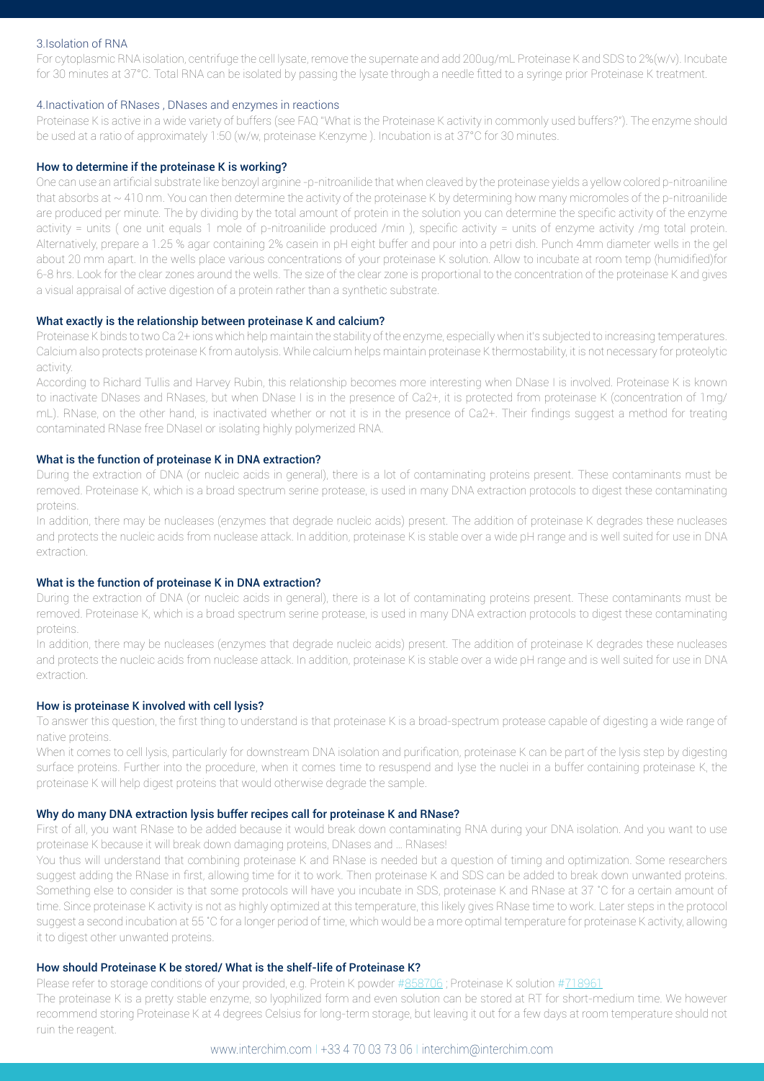#### 3.Isolation of RNA

For cytoplasmic RNA isolation, centrifuge the cell lysate, remove the supernate and add 200ug/mL Proteinase K and SDS to 2%(w/v). Incubate for 30 minutes at 37°C. Total RNA can be isolated by passing the lysate through a needle fitted to a syringe prior Proteinase K treatment.

#### 4.Inactivation of RNases , DNases and enzymes in reactions

Proteinase K is active in a wide variety of buffers (see FAQ "What is the Proteinase K activity in commonly used buffers?"). The enzyme should be used at a ratio of approximately 1:50 (w/w, proteinase K:enzyme ). Incubation is at 37°C for 30 minutes.

#### How to determine if the proteinase K is working?

One can use an artificial substrate like benzoyl arginine -p-nitroanilide that when cleaved by the proteinase yields a yellow colored p-nitroaniline that absorbs at ~410 nm. You can then determine the activity of the proteinase K by determining how many micromoles of the p-nitroanilide are produced per minute. The by dividing by the total amount of protein in the solution you can determine the specific activity of the enzyme activity = units (one unit equals 1 mole of p-nitroanilide produced /min), specific activity = units of enzyme activity /mg total protein. Alternatively, prepare a 1.25 % agar containing 2% casein in pH eight buffer and pour into a petri dish. Punch 4mm diameter wells in the gel about 20 mm apart. In the wells place various concentrations of your proteinase K solution. Allow to incubate at room temp (humidified)for 6-8 hrs. Look for the clear zones around the wells. The size of the clear zone is proportional to the concentration of the proteinase K and gives a visual appraisal of active digestion of a protein rather than a synthetic substrate.

#### What exactly is the relationship between proteinase K and calcium?

Proteinase K binds to two Ca 2+ ions which help maintain the stability of the enzyme, especially when it's subjected to increasing temperatures. Calcium also protects proteinase K from autolysis. While calcium helps maintain proteinase K thermostability, it is not necessary for proteolytic activity.

According to Richard Tullis and Harvey Rubin, this relationship becomes more interesting when DNase I is involved. Proteinase K is known to inactivate DNases and RNases, but when DNase I is in the presence of Ca2+, it is protected from proteinase K (concentration of 1mg/ mL). RNase, on the other hand, is inactivated whether or not it is in the presence of Ca2+. Their findings suggest a method for treating contaminated RNase free DNaseI or isolating highly polymerized RNA.

#### What is the function of proteinase K in DNA extraction?

During the extraction of DNA (or nucleic acids in general), there is a lot of contaminating proteins present. These contaminants must be removed. Proteinase K, which is a broad spectrum serine protease, is used in many DNA extraction protocols to digest these contaminating proteins.

In addition, there may be nucleases (enzymes that degrade nucleic acids) present. The addition of proteinase K degrades these nucleases and protects the nucleic acids from nuclease attack. In addition, proteinase K is stable over a wide pH range and is well suited for use in DNA extraction.

#### What is the function of proteinase K in DNA extraction?

During the extraction of DNA (or nucleic acids in general), there is a lot of contaminating proteins present. These contaminants must be removed. Proteinase K, which is a broad spectrum serine protease, is used in many DNA extraction protocols to digest these contaminating proteins.

In addition, there may be nucleases (enzymes that degrade nucleic acids) present. The addition of proteinase K degrades these nucleases and protects the nucleic acids from nuclease attack. In addition, proteinase K is stable over a wide pH range and is well suited for use in DNA extraction.

#### How is proteinase K involved with cell lysis?

To answer this question, the first thing to understand is that proteinase K is a broad-spectrum protease capable of digesting a wide range of native proteins.

When it comes to cell lysis, particularly for downstream DNA isolation and purification, proteinase K can be part of the lysis step by digesting surface proteins. Further into the procedure, when it comes time to resuspend and lyse the nuclei in a buffer containing proteinase K, the proteinase K will help digest proteins that would otherwise degrade the sample.

#### Why do many DNA extraction lysis buffer recipes call for proteinase K and RNase?

First of all, you want RNase to be added because it would break down contaminating RNA during your DNA isolation. And you want to use proteinase K because it will break down damaging proteins, DNases and … RNases!

You thus will understand that combining proteinase K and RNase is needed but a question of timing and optimization. Some researchers suggest adding the RNase in first, allowing time for it to work. Then proteinase K and SDS can be added to break down unwanted proteins. Something else to consider is that some protocols will have you incubate in SDS, proteinase K and RNase at 37 °C for a certain amount of time. Since proteinase K activity is not as highly optimized at this temperature, this likely gives RNase time to work. Later steps in the protocol suggest a second incubation at 55 ˚C for a longer period of time, which would be a more optimal temperature for proteinase K activity, allowing it to digest other unwanted proteins.

#### How should Proteinase K be stored/ What is the shelf-life of Proteinase K?

Please refer to storage conditions of your provided, e.g. Protein K powder #[858706](https://www.interchim.fr/ft/8/858707.pdf); Proteinase K solution #[718961](https://www.interchim.fr/ft/7/718961.pdf)

The proteinase K is a pretty stable enzyme, so lyophilized form and even solution can be stored at RT for short-medium time. We however recommend storing Proteinase K at 4 degrees Celsius for long-term storage, but leaving it out for a few days at room temperature should not ruin the reagent.

#### www.interchim.com I +33 4 70 03 73 06 I interchim@interchim.com